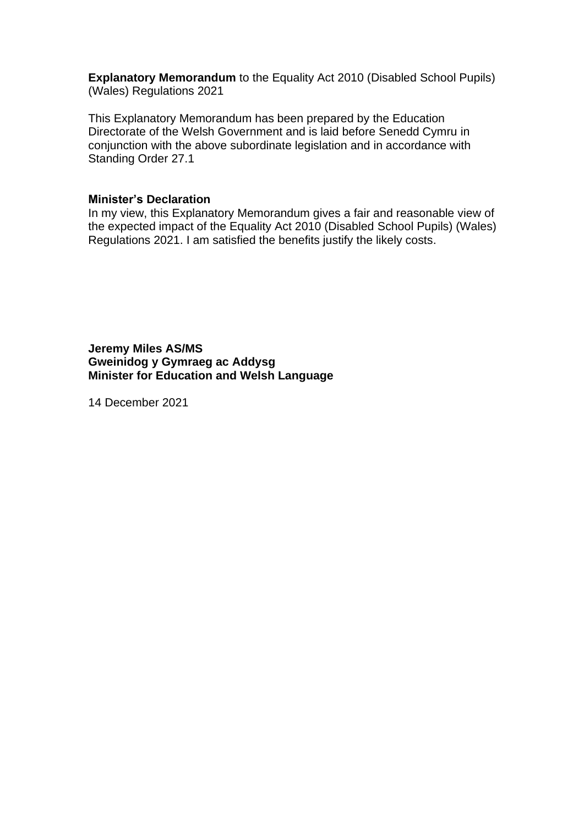**Explanatory Memorandum** to the Equality Act 2010 (Disabled School Pupils) (Wales) Regulations 2021

This Explanatory Memorandum has been prepared by the Education Directorate of the Welsh Government and is laid before Senedd Cymru in conjunction with the above subordinate legislation and in accordance with Standing Order 27.1

#### **Minister's Declaration**

In my view, this Explanatory Memorandum gives a fair and reasonable view of the expected impact of the Equality Act 2010 (Disabled School Pupils) (Wales) Regulations 2021. I am satisfied the benefits justify the likely costs.

**Jeremy Miles AS/MS Gweinidog y Gymraeg ac Addysg Minister for Education and Welsh Language**

14 December 2021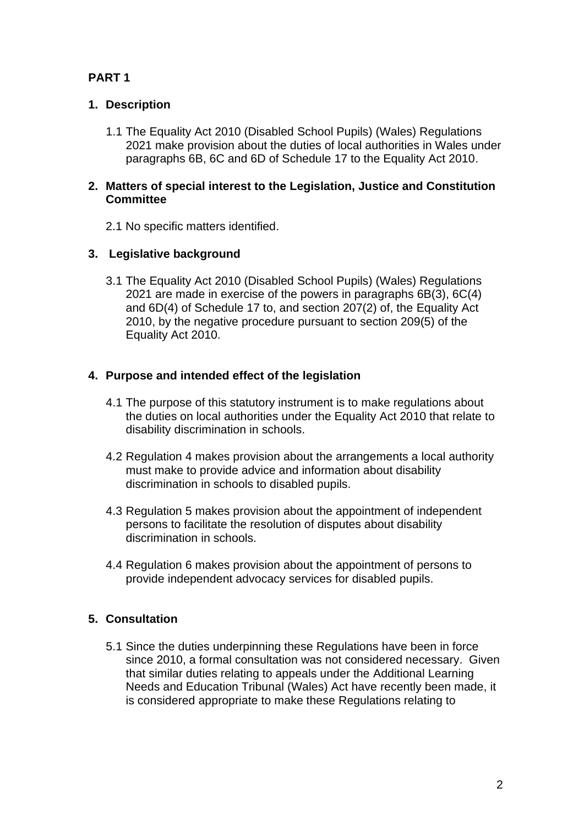# **PART 1**

# **1. Description**

1.1 The Equality Act 2010 (Disabled School Pupils) (Wales) Regulations 2021 make provision about the duties of local authorities in Wales under paragraphs 6B, 6C and 6D of Schedule 17 to the Equality Act 2010.

#### **2. Matters of special interest to the Legislation, Justice and Constitution Committee**

2.1 No specific matters identified.

## **3. Legislative background**

3.1 The Equality Act 2010 (Disabled School Pupils) (Wales) Regulations 2021 are made in exercise of the powers in paragraphs 6B(3), 6C(4) and 6D(4) of Schedule 17 to, and section 207(2) of, the Equality Act 2010, by the negative procedure pursuant to section 209(5) of the Equality Act 2010.

## **4. Purpose and intended effect of the legislation**

- 4.1 The purpose of this statutory instrument is to make regulations about the duties on local authorities under the Equality Act 2010 that relate to disability discrimination in schools.
- 4.2 Regulation 4 makes provision about the arrangements a local authority must make to provide advice and information about disability discrimination in schools to disabled pupils.
- 4.3 Regulation 5 makes provision about the appointment of independent persons to facilitate the resolution of disputes about disability discrimination in schools.
- 4.4 Regulation 6 makes provision about the appointment of persons to provide independent advocacy services for disabled pupils.

## **5. Consultation**

5.1 Since the duties underpinning these Regulations have been in force since 2010, a formal consultation was not considered necessary. Given that similar duties relating to appeals under the Additional Learning Needs and Education Tribunal (Wales) Act have recently been made, it is considered appropriate to make these Regulations relating to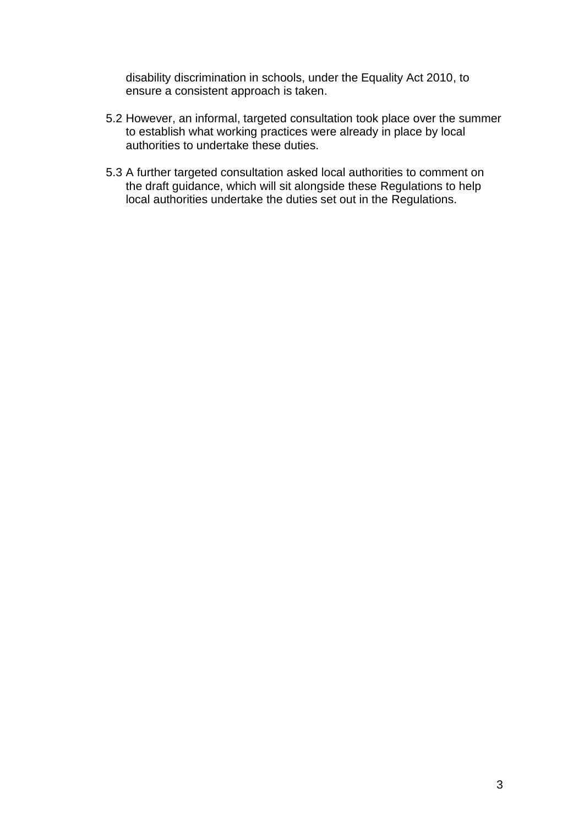disability discrimination in schools, under the Equality Act 2010, to ensure a consistent approach is taken.

- 5.2 However, an informal, targeted consultation took place over the summer to establish what working practices were already in place by local authorities to undertake these duties.
- 5.3 A further targeted consultation asked local authorities to comment on the draft guidance, which will sit alongside these Regulations to help local authorities undertake the duties set out in the Regulations.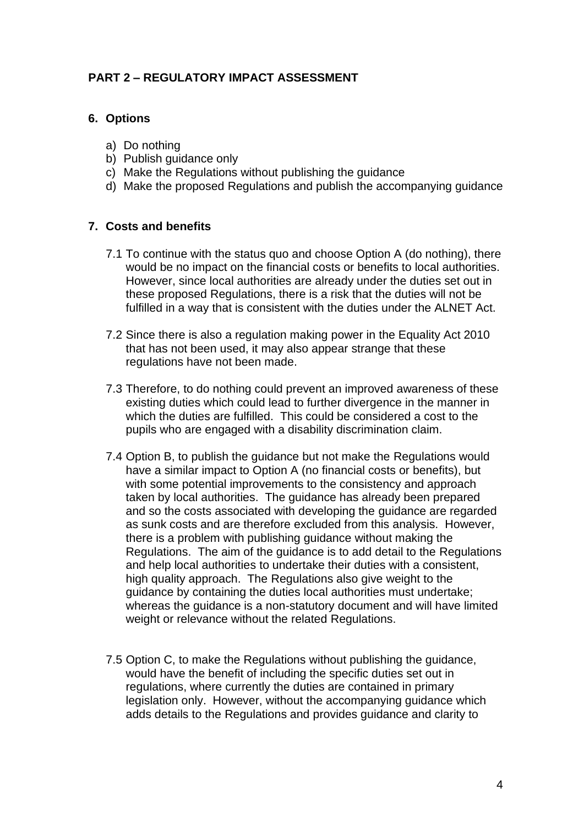## **PART 2 – REGULATORY IMPACT ASSESSMENT**

#### **6. Options**

- a) Do nothing
- b) Publish quidance only
- c) Make the Regulations without publishing the guidance
- d) Make the proposed Regulations and publish the accompanying guidance

#### **7. Costs and benefits**

- 7.1 To continue with the status quo and choose Option A (do nothing), there would be no impact on the financial costs or benefits to local authorities. However, since local authorities are already under the duties set out in these proposed Regulations, there is a risk that the duties will not be fulfilled in a way that is consistent with the duties under the ALNET Act.
- 7.2 Since there is also a regulation making power in the Equality Act 2010 that has not been used, it may also appear strange that these regulations have not been made.
- 7.3 Therefore, to do nothing could prevent an improved awareness of these existing duties which could lead to further divergence in the manner in which the duties are fulfilled. This could be considered a cost to the pupils who are engaged with a disability discrimination claim.
- 7.4 Option B, to publish the guidance but not make the Regulations would have a similar impact to Option A (no financial costs or benefits), but with some potential improvements to the consistency and approach taken by local authorities. The guidance has already been prepared and so the costs associated with developing the guidance are regarded as sunk costs and are therefore excluded from this analysis. However, there is a problem with publishing guidance without making the Regulations. The aim of the guidance is to add detail to the Regulations and help local authorities to undertake their duties with a consistent, high quality approach. The Regulations also give weight to the guidance by containing the duties local authorities must undertake; whereas the guidance is a non-statutory document and will have limited weight or relevance without the related Regulations.
- 7.5 Option C, to make the Regulations without publishing the guidance, would have the benefit of including the specific duties set out in regulations, where currently the duties are contained in primary legislation only. However, without the accompanying guidance which adds details to the Regulations and provides guidance and clarity to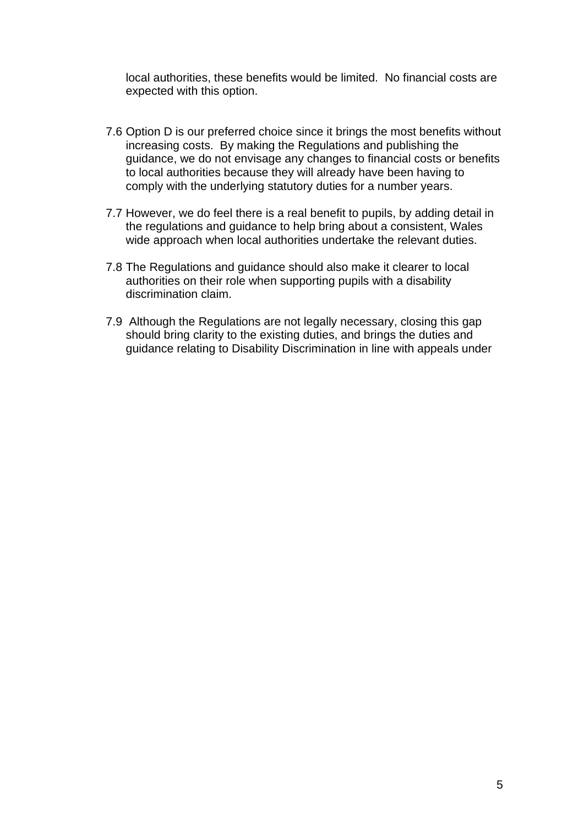local authorities, these benefits would be limited. No financial costs are expected with this option.

- 7.6 Option D is our preferred choice since it brings the most benefits without increasing costs. By making the Regulations and publishing the guidance, we do not envisage any changes to financial costs or benefits to local authorities because they will already have been having to comply with the underlying statutory duties for a number years.
- 7.7 However, we do feel there is a real benefit to pupils, by adding detail in the regulations and guidance to help bring about a consistent, Wales wide approach when local authorities undertake the relevant duties.
- 7.8 The Regulations and guidance should also make it clearer to local authorities on their role when supporting pupils with a disability discrimination claim.
- 7.9 Although the Regulations are not legally necessary, closing this gap should bring clarity to the existing duties, and brings the duties and guidance relating to Disability Discrimination in line with appeals under